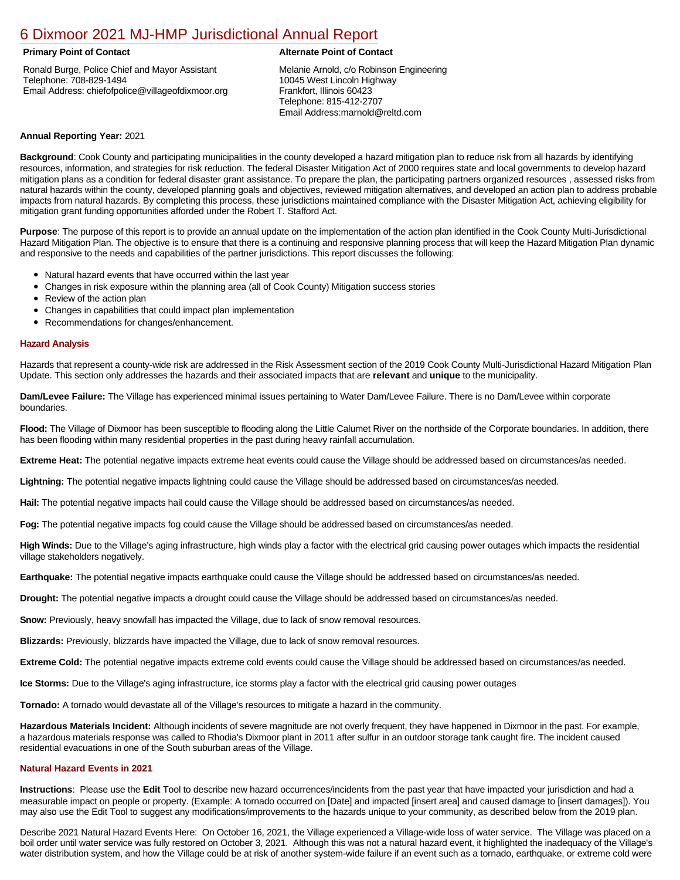# [6 Dixmoor 2021 MJ-HMP Jurisdictional Annual Report](https://dixmoor.isc-cemp.com/Cemp/Details?id=8322827)

# **Primary Point of Contact Alternate Point of Contact**

Ronald Burge, Police Chief and Mayor Assistant Telephone: 708-829-1494 Email Address: chiefofpolice@villageofdixmoor.org

Melanie Arnold, c/o Robinson Engineering 10045 West Lincoln Highway Frankfort, Illinois 60423 Telephone: 815-412-2707 Email Address:marnold@reltd.com

# **Annual Reporting Year:** 2021

**Background**: Cook County and participating municipalities in the county developed a hazard mitigation plan to reduce risk from all hazards by identifying resources, information, and strategies for risk reduction. The federal Disaster Mitigation Act of 2000 requires state and local governments to develop hazard mitigation plans as a condition for federal disaster grant assistance. To prepare the plan, the participating partners organized resources , assessed risks from natural hazards within the county, developed planning goals and objectives, reviewed mitigation alternatives, and developed an action plan to address probable impacts from natural hazards. By completing this process, these jurisdictions maintained compliance with the Disaster Mitigation Act, achieving eligibility for mitigation grant funding opportunities afforded under the Robert T. Stafford Act.

**Purpose**: The purpose of this report is to provide an annual update on the implementation of the action plan identified in the Cook County Multi-Jurisdictional Hazard Mitigation Plan. The objective is to ensure that there is a continuing and responsive planning process that will keep the Hazard Mitigation Plan dynamic and responsive to the needs and capabilities of the partner jurisdictions. This report discusses the following:

- Natural hazard events that have occurred within the last year
- $\bullet$ Changes in risk exposure within the planning area (all of Cook County) Mitigation success stories
- Review of the action plan  $\bullet$
- $\bullet$ Changes in capabilities that could impact plan implementation
- Recommendations for changes/enhancement.

### **Hazard Analysis**

Hazards that represent a county-wide risk are addressed in the Risk Assessment section of the 2019 Cook County Multi-Jurisdictional Hazard Mitigation Plan Update. This section only addresses the hazards and their associated impacts that are **relevant** and **unique** to the municipality.

**Dam/Levee Failure:** The Village has experienced minimal issues pertaining to Water Dam/Levee Failure. There is no Dam/Levee within corporate boundaries.

**Flood:** The Village of Dixmoor has been susceptible to flooding along the Little Calumet River on the northside of the Corporate boundaries. In addition, there has been flooding within many residential properties in the past during heavy rainfall accumulation.

**Extreme Heat:** The potential negative impacts extreme heat events could cause the Village should be addressed based on circumstances/as needed.

**Lightning:** The potential negative impacts lightning could cause the Village should be addressed based on circumstances/as needed.

**Hail:** The potential negative impacts hail could cause the Village should be addressed based on circumstances/as needed.

**Fog:** The potential negative impacts fog could cause the Village should be addressed based on circumstances/as needed.

**High Winds:** Due to the Village's aging infrastructure, high winds play a factor with the electrical grid causing power outages which impacts the residential village stakeholders negatively.

**Earthquake:** The potential negative impacts earthquake could cause the Village should be addressed based on circumstances/as needed.

**Drought:** The potential negative impacts a drought could cause the Village should be addressed based on circumstances/as needed.

**Snow:** Previously, heavy snowfall has impacted the Village, due to lack of snow removal resources.

**Blizzards:** Previously, blizzards have impacted the Village, due to lack of snow removal resources.

**Extreme Cold:** The potential negative impacts extreme cold events could cause the Village should be addressed based on circumstances/as needed.

**Ice Storms:** Due to the Village's aging infrastructure, ice storms play a factor with the electrical grid causing power outages

**Tornado:** A tornado would devastate all of the Village's resources to mitigate a hazard in the community.

**Hazardous Materials Incident:** Although incidents of severe magnitude are not overly frequent, they have happened in Dixmoor in the past. For example, a hazardous materials response was called to Rhodia's Dixmoor plant in 2011 after sulfur in an outdoor storage tank caught fire. The incident caused residential evacuations in one of the South suburban areas of the Village.

## **Natural Hazard Events in 2021**

**Instructions**: Please use the **Edit** Tool to describe new hazard occurrences/incidents from the past year that have impacted your jurisdiction and had a measurable impact on people or property. (Example: A tornado occurred on [Date] and impacted [insert area] and caused damage to [insert damages]). You may also use the Edit Tool to suggest any modifications/improvements to the hazards unique to your community, as described below from the 2019 plan.

Describe 2021 Natural Hazard Events Here: On October 16, 2021, the Village experienced a Village-wide loss of water service. The Village was placed on a boil order until water service was fully restored on October 3, 2021. Although this was not a natural hazard event, it highlighted the inadequacy of the Village's water distribution system, and how the Village could be at risk of another system-wide failure if an event such as a tornado, earthquake, or extreme cold were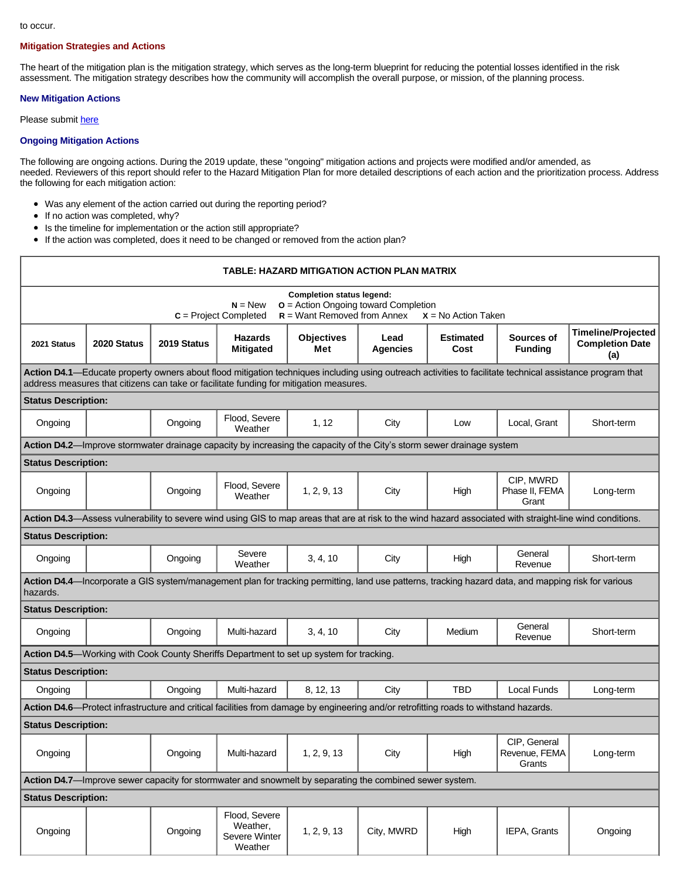### **Mitigation Strategies and Actions**

The heart of the mitigation plan is the mitigation strategy, which serves as the long-term blueprint for reducing the potential losses identified in the risk assessment. The mitigation strategy describes how the community will accomplish the overall purpose, or mission, of the planning process.

# **New Mitigation Actions**

Please submit [here](https://integratedsolutions.wufoo.com/forms/mg21jvf0jn639o/)

# **Ongoing Mitigation Actions**

The following are ongoing actions. During the 2019 update, these "ongoing" mitigation actions and projects were modified and/or amended, as needed. Reviewers of this report should refer to the Hazard Mitigation Plan for more detailed descriptions of each action and the prioritization process. Address the following for each mitigation action:

- Was any element of the action carried out during the reporting period?
- If no action was completed, why?
- Is the timeline for implementation or the action still appropriate?  $\bullet$
- $\bullet$ If the action was completed, does it need to be changed or removed from the action plan?

| TABLE: HAZARD MITIGATION ACTION PLAN MATRIX                                                                                                                                                                                                         |                                                                                                                       |             |                                                                                                                                       |                          |                         |                          |                                         |                                                            |  |  |  |  |
|-----------------------------------------------------------------------------------------------------------------------------------------------------------------------------------------------------------------------------------------------------|-----------------------------------------------------------------------------------------------------------------------|-------------|---------------------------------------------------------------------------------------------------------------------------------------|--------------------------|-------------------------|--------------------------|-----------------------------------------|------------------------------------------------------------|--|--|--|--|
| <b>Completion status legend:</b><br><b>o</b> = Action Ongoing toward Completion<br>$N = New$<br>$R =$ Want Removed from Annex<br>$c =$ Project Completed<br>$X = No$ Action Taken                                                                   |                                                                                                                       |             |                                                                                                                                       |                          |                         |                          |                                         |                                                            |  |  |  |  |
| 2021 Status                                                                                                                                                                                                                                         | 2020 Status                                                                                                           | 2019 Status | <b>Hazards</b><br><b>Mitigated</b>                                                                                                    | <b>Objectives</b><br>Met | Lead<br><b>Agencies</b> | <b>Estimated</b><br>Cost | Sources of<br><b>Funding</b>            | <b>Timeline/Projected</b><br><b>Completion Date</b><br>(a) |  |  |  |  |
| Action D4.1—Educate property owners about flood mitigation techniques including using outreach activities to facilitate technical assistance program that<br>address measures that citizens can take or facilitate funding for mitigation measures. |                                                                                                                       |             |                                                                                                                                       |                          |                         |                          |                                         |                                                            |  |  |  |  |
| <b>Status Description:</b>                                                                                                                                                                                                                          |                                                                                                                       |             |                                                                                                                                       |                          |                         |                          |                                         |                                                            |  |  |  |  |
| Ongoing                                                                                                                                                                                                                                             |                                                                                                                       | Ongoing     | Flood, Severe<br>Weather                                                                                                              | 1, 12                    | City                    | Low                      | Local, Grant                            | Short-term                                                 |  |  |  |  |
|                                                                                                                                                                                                                                                     | Action D4.2—Improve stormwater drainage capacity by increasing the capacity of the City's storm sewer drainage system |             |                                                                                                                                       |                          |                         |                          |                                         |                                                            |  |  |  |  |
| <b>Status Description:</b>                                                                                                                                                                                                                          |                                                                                                                       |             |                                                                                                                                       |                          |                         |                          |                                         |                                                            |  |  |  |  |
| Ongoing                                                                                                                                                                                                                                             |                                                                                                                       | Ongoing     | Flood, Severe<br>Weather                                                                                                              | 1, 2, 9, 13              | City                    | High                     | CIP, MWRD<br>Phase II. FEMA<br>Grant    | Long-term                                                  |  |  |  |  |
| Action D4.3-Assess vulnerability to severe wind using GIS to map areas that are at risk to the wind hazard associated with straight-line wind conditions.                                                                                           |                                                                                                                       |             |                                                                                                                                       |                          |                         |                          |                                         |                                                            |  |  |  |  |
| <b>Status Description:</b>                                                                                                                                                                                                                          |                                                                                                                       |             |                                                                                                                                       |                          |                         |                          |                                         |                                                            |  |  |  |  |
| Ongoing                                                                                                                                                                                                                                             |                                                                                                                       | Ongoing     | Severe<br>Weather                                                                                                                     | 3, 4, 10                 | City                    | High                     | General<br>Revenue                      | Short-term                                                 |  |  |  |  |
| Action D4.4-Incorporate a GIS system/management plan for tracking permitting, land use patterns, tracking hazard data, and mapping risk for various<br>hazards.                                                                                     |                                                                                                                       |             |                                                                                                                                       |                          |                         |                          |                                         |                                                            |  |  |  |  |
| <b>Status Description:</b>                                                                                                                                                                                                                          |                                                                                                                       |             |                                                                                                                                       |                          |                         |                          |                                         |                                                            |  |  |  |  |
| Ongoing                                                                                                                                                                                                                                             |                                                                                                                       | Ongoing     | Multi-hazard                                                                                                                          | 3, 4, 10                 | City                    | Medium                   | General<br>Revenue                      | Short-term                                                 |  |  |  |  |
|                                                                                                                                                                                                                                                     |                                                                                                                       |             | <b>Action D4.5</b> —Working with Cook County Sheriffs Department to set up system for tracking.                                       |                          |                         |                          |                                         |                                                            |  |  |  |  |
| <b>Status Description:</b>                                                                                                                                                                                                                          |                                                                                                                       |             |                                                                                                                                       |                          |                         |                          |                                         |                                                            |  |  |  |  |
| Ongoing                                                                                                                                                                                                                                             |                                                                                                                       | Ongoing     | Multi-hazard                                                                                                                          | 8, 12, 13                | City                    | TBD                      | <b>Local Funds</b>                      | Long-term                                                  |  |  |  |  |
|                                                                                                                                                                                                                                                     |                                                                                                                       |             | Action D4.6—Protect infrastructure and critical facilities from damage by engineering and/or retrofitting roads to withstand hazards. |                          |                         |                          |                                         |                                                            |  |  |  |  |
| <b>Status Description:</b>                                                                                                                                                                                                                          |                                                                                                                       |             |                                                                                                                                       |                          |                         |                          |                                         |                                                            |  |  |  |  |
| Ongoing                                                                                                                                                                                                                                             |                                                                                                                       | Onaoina     | Multi-hazard                                                                                                                          | 1, 2, 9, 13              | City                    | Hiah                     | CIP, General<br>Revenue, FEMA<br>Grants | Long-term                                                  |  |  |  |  |
| Action D4.7-Improve sewer capacity for stormwater and snowmelt by separating the combined sewer system.                                                                                                                                             |                                                                                                                       |             |                                                                                                                                       |                          |                         |                          |                                         |                                                            |  |  |  |  |
| <b>Status Description:</b>                                                                                                                                                                                                                          |                                                                                                                       |             |                                                                                                                                       |                          |                         |                          |                                         |                                                            |  |  |  |  |
| Ongoing                                                                                                                                                                                                                                             |                                                                                                                       | Ongoing     | Flood, Severe<br>Weather,<br>Severe Winter<br>Weather                                                                                 | 1, 2, 9, 13              | City, MWRD              | High                     | IEPA, Grants                            | Ongoing                                                    |  |  |  |  |